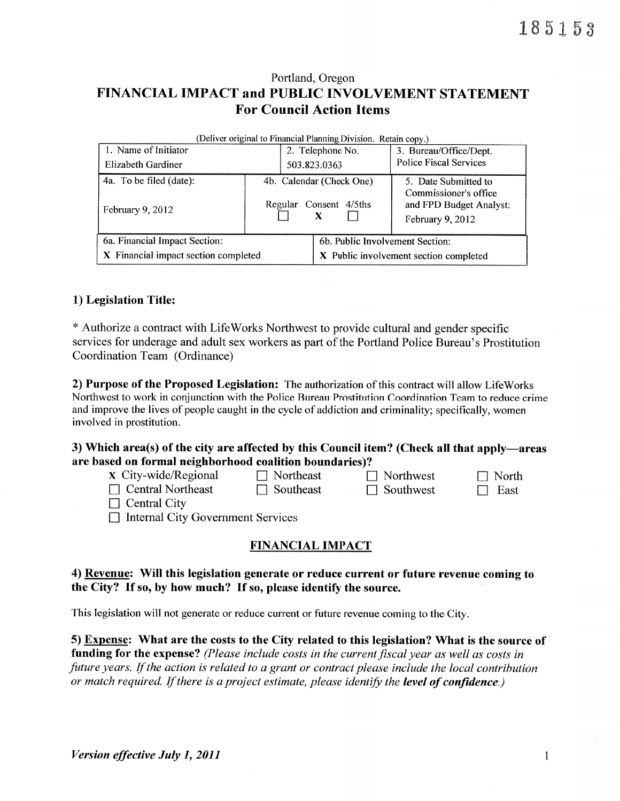# Portland, Oregon FINANCIAL IMPACT and PUBLIC INVOLVEMENT STATEMENT **For Council Action Items**

| (Deliver original to Financial Planning Division. Retain copy.) |                          |                  |                                        |                                                                      |  |  |  |  |  |
|-----------------------------------------------------------------|--------------------------|------------------|----------------------------------------|----------------------------------------------------------------------|--|--|--|--|--|
| 1. Name of Initiator                                            |                          | 2. Telephone No. |                                        | 3. Bureau/Office/Dept.                                               |  |  |  |  |  |
| Elizabeth Gardiner                                              |                          | 503.823.0363     |                                        | <b>Police Fiscal Services</b>                                        |  |  |  |  |  |
| 4a. To be filed (date):                                         | 4b. Calendar (Check One) |                  |                                        | 5. Date Submitted to                                                 |  |  |  |  |  |
| February 9, 2012                                                |                          |                  | Regular Consent 4/5ths<br>X            | Commissioner's office<br>and FPD Budget Analyst:<br>February 9, 2012 |  |  |  |  |  |
| 6a. Financial Impact Section:                                   |                          |                  | 6b. Public Involvement Section:        |                                                                      |  |  |  |  |  |
| X Financial impact section completed                            |                          |                  | X Public involvement section completed |                                                                      |  |  |  |  |  |

## 1) Legislation Title:

\* Authorize a contract with LifeWorks Northwest to provide cultural and gender specific services for underage and adult sex workers as part of the Portland Police Bureau's Prostitution Coordination Team (Ordinance)

2) Purpose of the Proposed Legislation: The authorization of this contract will allow LifeWorks Northwest to work in conjunction with the Police Bureau Prostitution Coordination Team to reduce crime and improve the lives of people caught in the cycle of addiction and criminality; specifically, women involved in prostitution.

3) Which area(s) of the city are affected by this Council item? (Check all that apply—areas are based on formal neighborhood coalition boundaries)?

| <b>x</b> City-wide/Regional | $\Box$ Northeast | $\Box$ Northwest |
|-----------------------------|------------------|------------------|
| $\Box$ Central Northeast    | $\Box$ Southeast | $\Box$ Southwest |

 $\Box$  North  $\Box$  East

 $\Box$  Central City

□ Internal City Government Services

## **FINANCIAL IMPACT**

4) Revenue: Will this legislation generate or reduce current or future revenue coming to the City? If so, by how much? If so, please identify the source.

This legislation will not generate or reduce current or future revenue coming to the City.

5) Expense: What are the costs to the City related to this legislation? What is the source of funding for the expense? (Please include costs in the current fiscal year as well as costs in future years. If the action is related to a grant or contract please include the local contribution or match required. If there is a project estimate, please identify the level of confidence.)

 $\mathbf{1}$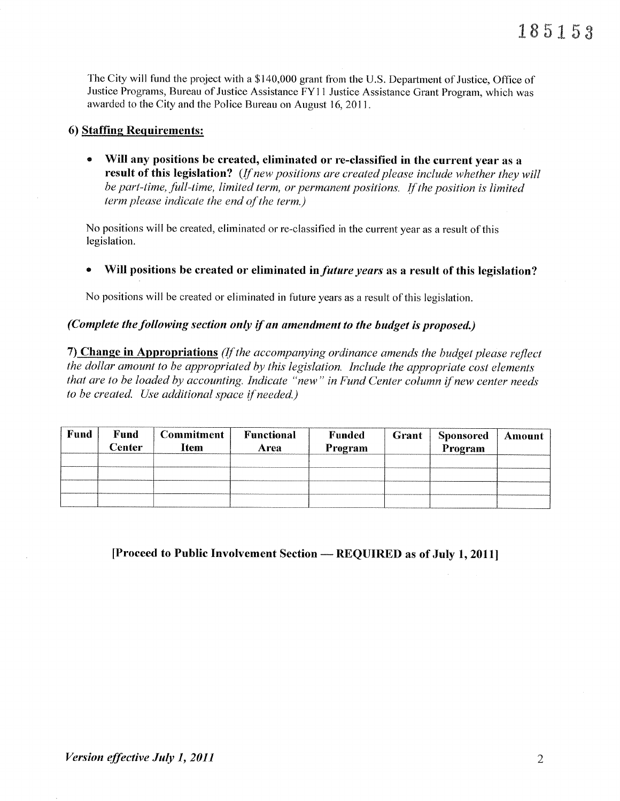The City will fund the project with a \$140,000 grant from the U.S. Department of Justice, Office of Justice Programs, Bureau of Justice Assistance FY11 Justice Assistance Grant Program, which was awarded to the City and the Police Bureau on August 16, 2011.

## 6) Staffing Requirements:

Will any positions be created, eliminated or re-classified in the current year as a  $\bullet$ result of this legislation? (If new positions are created please include whether they will be part-time, full-time, limited term, or permanent positions. If the position is limited term please indicate the end of the term.)

No positions will be created, eliminated or re-classified in the current year as a result of this legislation.

Will positions be created or eliminated in *future years* as a result of this legislation?

No positions will be created or eliminated in future years as a result of this legislation.

## (Complete the following section only if an amendment to the budget is proposed.)

7) Change in Appropriations (If the accompanying ordinance amends the budget please reflect the dollar amount to be appropriated by this legislation. Include the appropriate cost elements that are to be loaded by accounting. Indicate "new" in Fund Center column if new center needs to be created. Use additional space if needed.)

| Fund | Fund<br>Center | <b>Commitment</b><br><b>Item</b> | Functional<br>Area | <b>Funded</b><br>Program | Grant | <b>Sponsored</b><br>Program | Amount |
|------|----------------|----------------------------------|--------------------|--------------------------|-------|-----------------------------|--------|
|      |                |                                  |                    |                          |       |                             |        |
|      |                |                                  |                    |                          |       |                             |        |

[Proceed to Public Involvement Section — REQUIRED as of July 1, 2011]